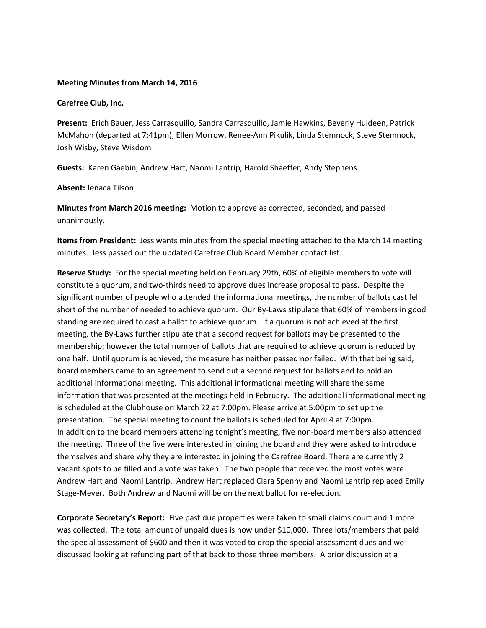### **Meeting Minutes from March 14, 2016**

#### **Carefree Club, Inc.**

**Present:** Erich Bauer, Jess Carrasquillo, Sandra Carrasquillo, Jamie Hawkins, Beverly Huldeen, Patrick McMahon (departed at 7:41pm), Ellen Morrow, Renee-Ann Pikulik, Linda Stemnock, Steve Stemnock, Josh Wisby, Steve Wisdom

**Guests:** Karen Gaebin, Andrew Hart, Naomi Lantrip, Harold Shaeffer, Andy Stephens

#### **Absent:** Jenaca Tilson

**Minutes from March 2016 meeting:** Motion to approve as corrected, seconded, and passed unanimously.

**Items from President:** Jess wants minutes from the special meeting attached to the March 14 meeting minutes. Jess passed out the updated Carefree Club Board Member contact list.

**Reserve Study:** For the special meeting held on February 29th, 60% of eligible members to vote will constitute a quorum, and two-thirds need to approve dues increase proposal to pass. Despite the significant number of people who attended the informational meetings, the number of ballots cast fell short of the number of needed to achieve quorum. Our By-Laws stipulate that 60% of members in good standing are required to cast a ballot to achieve quorum. If a quorum is not achieved at the first meeting, the By-Laws further stipulate that a second request for ballots may be presented to the membership; however the total number of ballots that are required to achieve quorum is reduced by one half. Until quorum is achieved, the measure has neither passed nor failed. With that being said, board members came to an agreement to send out a second request for ballots and to hold an additional informational meeting. This additional informational meeting will share the same information that was presented at the meetings held in February. The additional informational meeting is scheduled at the Clubhouse on March 22 at 7:00pm. Please arrive at 5:00pm to set up the presentation. The special meeting to count the ballots is scheduled for April 4 at 7:00pm. In addition to the board members attending tonight's meeting, five non-board members also attended the meeting. Three of the five were interested in joining the board and they were asked to introduce themselves and share why they are interested in joining the Carefree Board. There are currently 2 vacant spots to be filled and a vote was taken. The two people that received the most votes were Andrew Hart and Naomi Lantrip. Andrew Hart replaced Clara Spenny and Naomi Lantrip replaced Emily Stage-Meyer. Both Andrew and Naomi will be on the next ballot for re-election.

**Corporate Secretary's Report:** Five past due properties were taken to small claims court and 1 more was collected. The total amount of unpaid dues is now under \$10,000. Three lots/members that paid the special assessment of \$600 and then it was voted to drop the special assessment dues and we discussed looking at refunding part of that back to those three members. A prior discussion at a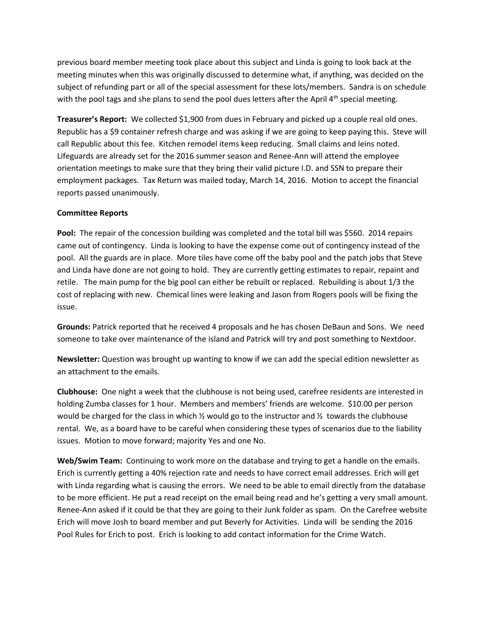previous board member meeting took place about this subject and Linda is going to look back at the meeting minutes when this was originally discussed to determine what, if anything, was decided on the subject of refunding part or all of the special assessment for these lots/members. Sandra is on schedule with the pool tags and she plans to send the pool dues letters after the April 4<sup>th</sup> special meeting.

**Treasurer's Report:** We collected \$1,900 from dues in February and picked up a couple real old ones. Republic has a \$9 container refresh charge and was asking if we are going to keep paying this. Steve will call Republic about this fee. Kitchen remodel items keep reducing. Small claims and leins noted. Lifeguards are already set for the 2016 summer season and Renee-Ann will attend the employee orientation meetings to make sure that they bring their valid picture I.D. and SSN to prepare their employment packages. Tax Return was mailed today, March 14, 2016. Motion to accept the financial reports passed unanimously.

# **Committee Reports**

**Pool:** The repair of the concession building was completed and the total bill was \$560. 2014 repairs came out of contingency. Linda is looking to have the expense come out of contingency instead of the pool. All the guards are in place. More tiles have come off the baby pool and the patch jobs that Steve and Linda have done are not going to hold. They are currently getting estimates to repair, repaint and retile. The main pump for the big pool can either be rebuilt or replaced. Rebuilding is about 1/3 the cost of replacing with new. Chemical lines were leaking and Jason from Rogers pools will be fixing the issue.

**Grounds:** Patrick reported that he received 4 proposals and he has chosen DeBaun and Sons. We need someone to take over maintenance of the island and Patrick will try and post something to Nextdoor.

**Newsletter:** Question was brought up wanting to know if we can add the special edition newsletter as an attachment to the emails.

**Clubhouse:** One night a week that the clubhouse is not being used, carefree residents are interested in holding Zumba classes for 1 hour. Members and members' friends are welcome. \$10.00 per person would be charged for the class in which  $\frac{1}{2}$  would go to the instructor and  $\frac{1}{2}$  towards the clubhouse rental. We, as a board have to be careful when considering these types of scenarios due to the liability issues. Motion to move forward; majority Yes and one No.

**Web/Swim Team:** Continuing to work more on the database and trying to get a handle on the emails. Erich is currently getting a 40% rejection rate and needs to have correct email addresses. Erich will get with Linda regarding what is causing the errors. We need to be able to email directly from the database to be more efficient. He put a read receipt on the email being read and he's getting a very small amount. Renee-Ann asked if it could be that they are going to their Junk folder as spam. On the Carefree website Erich will move Josh to board member and put Beverly for Activities. Linda will be sending the 2016 Pool Rules for Erich to post. Erich is looking to add contact information for the Crime Watch.